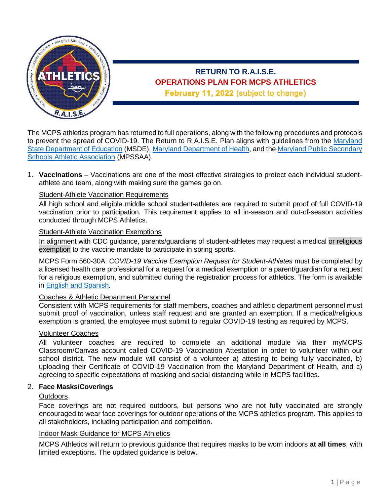

# **RETURN TO R.A.I.S.E. OPERATIONS PLAN FOR MCPS ATHLETICS** February 11, 2022 (subject to change)

The MCPS athletics program has returned to full operations, along with the following procedures and protocols to prevent the spread of COVID-19. The Return to R.A.I.S.E. Plan aligns with quidelines from the Maryland State [Department of Education](https://earlychildhood.marylandpublicschools.org/system/files/filedepot/3/covid_guidance_full_080420.pdf) (MSDE)[, Maryland Department of Health,](https://earlychildhood.marylandpublicschools.org/system/files/filedepot/3/covid_guidance_full_080420.pdf) and the [Maryland Public Secondary](https://www.mpssaa.org/membership-services/roadmap-for-return-of-interscholastic-athletics-covid-19-updates/)  [Schools Athletic Association](https://www.mpssaa.org/membership-services/roadmap-for-return-of-interscholastic-athletics-covid-19-updates/) (MPSSAA).

1. **Vaccinations** – Vaccinations are one of the most effective strategies to protect each individual studentathlete and team, along with making sure the games go on.

## Student-Athlete Vaccination Requirements

All high school and eligible middle school student-athletes are required to submit proof of full COVID-19 vaccination prior to participation*.* This requirement applies to all in-season and out-of-season activities conducted through MCPS Athletics.

#### Student-Athlete Vaccination Exemptions

In alignment with CDC guidance, parents/guardians of student-athletes may request a medical or religious exemption to the vaccine mandate to participate in spring sports.

MCPS Form 560-30A: *COVID-19 Vaccine Exemption Request for Student-Athletes* must be completed by a licensed health care professional for a request for a medical exemption or a parent/guardian for a request for a religious exemption, and submitted during the registration process for athletics. The form is available in [English and Spanish.](https://www2.montgomeryschoolsmd.org/departments/athletics/health/default/670945/)

### Coaches & Athletic Department Personnel

Consistent with MCPS requirements for staff members, coaches and athletic department personnel must submit proof of vaccination, unless staff request and are granted an exemption. If a medical/religious exemption is granted, the employee must submit to regular COVID-19 testing as required by MCPS.

### Volunteer Coaches

All volunteer coaches are required to complete an additional module via their myMCPS Classroom/Canvas account called COVID-19 Vaccination Attestation in order to volunteer within our school district. The new module will consist of a volunteer a) attesting to being fully vaccinated, b) uploading their Certificate of COVID-19 Vaccination from the Maryland Department of Health, and c) agreeing to specific expectations of masking and social distancing while in MCPS facilities.

### 2. **Face Masks/Coverings**

### **Outdoors**

Face coverings are not required outdoors, but persons who are not fully vaccinated are strongly encouraged to wear face coverings for outdoor operations of the MCPS athletics program. This applies to all stakeholders, including participation and competition.

### Indoor Mask Guidance for MCPS Athletics

MCPS Athletics will return to previous guidance that requires masks to be worn indoors **at all times**, with limited exceptions. The updated guidance is below.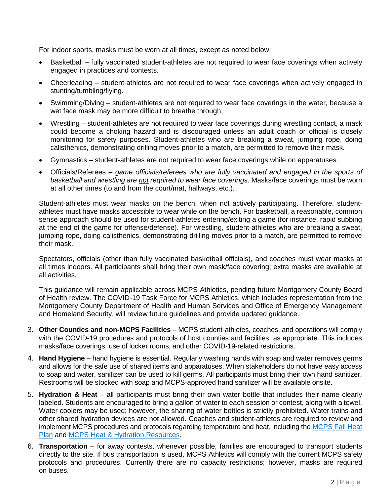For indoor sports, masks must be worn at all times, except as noted below:

- Basketball fully vaccinated student-athletes are not required to wear face coverings when actively engaged in practices and contests.
- Cheerleading student-athletes are not required to wear face coverings when actively engaged in stunting/tumbling/flying.
- Swimming/Diving student-athletes are not required to wear face coverings in the water, because a wet face mask may be more difficult to breathe through.
- Wrestling student-athletes are not required to wear face coverings during wrestling contact, a mask could become a choking hazard and is discouraged unless an adult coach or official is closely monitoring for safety purposes. Student-athletes who are breaking a sweat, jumping rope, doing calisthenics, demonstrating drilling moves prior to a match, are permitted to remove their mask.
- Gymnastics student-athletes are not required to wear face coverings while on apparatuses.
- Officials/Referees *game officials/referees who are fully vaccinated and engaged in the sports of basketball and wrestling are not required to wear face coverings*. Masks/face coverings must be worn at all other times (to and from the court/mat, hallways, etc.).

Student-athletes must wear masks on the bench, when not actively participating. Therefore, studentathletes must have masks accessible to wear while on the bench. For basketball, a reasonable, common sense approach should be used for student-athletes entering/exiting a game (for instance, rapid subbing at the end of the game for offense/defense). For wrestling, student-athletes who are breaking a sweat, jumping rope, doing calisthenics, demonstrating drilling moves prior to a match, are permitted to remove their mask.

Spectators, officials (other than fully vaccinated basketball officials), and coaches must wear masks at all times indoors. All participants shall bring their own mask/face covering; extra masks are available at all activities.

This guidance will remain applicable across MCPS Athletics, pending future Montgomery County Board of Health review. The COVID-19 Task Force for MCPS Athletics, which includes representation from the Montgomery County Department of Health and Human Services and Office of Emergency Management and Homeland Security, will review future guidelines and provide updated guidance.

- 3. **Other Counties and non-MCPS Facilities** MCPS student-athletes, coaches, and operations will comply with the COVID-19 procedures and protocols of host counties and facilities, as appropriate. This includes masks/face coverings, use of locker rooms, and other COVID-19-related restrictions.
- 4. **Hand Hygiene** hand hygiene is essential. Regularly washing hands with soap and water removes germs and allows for the safe use of shared items and apparatuses. When stakeholders do not have easy access to soap and water, sanitizer can be used to kill germs. All participants must bring their own hand sanitizer. Restrooms will be stocked with soap and MCPS-approved hand sanitizer will be available onsite.
- 5. **Hydration & Heat** all participants must bring their own water bottle that includes their name clearly labeled. Students are encouraged to bring a gallon of water to each session or contest, along with a towel. Water coolers may be used; however, the sharing of water bottles is strictly prohibited. Water trains and other shared hydration devices are not allowed. Coaches and student-athletes are required to review and implement MCPS procedures and protocols regarding temperature and heat, including the MCPS Fall Heat [Plan](https://www2.montgomeryschoolsmd.org/siteassets/district/departments/athletics/health/fall-heat-plan.pdf) and [MCPS Heat & Hydration Resources.](https://www2.montgomeryschoolsmd.org/departments/athletics/health/heat/)
- 6. **Transportation** for away contests, whenever possible, families are encouraged to transport students directly to the site. If bus transportation is used, MCPS Athletics will comply with the current MCPS safety protocols and procedures. Currently there are no capacity restrictions; however, masks are required on buses.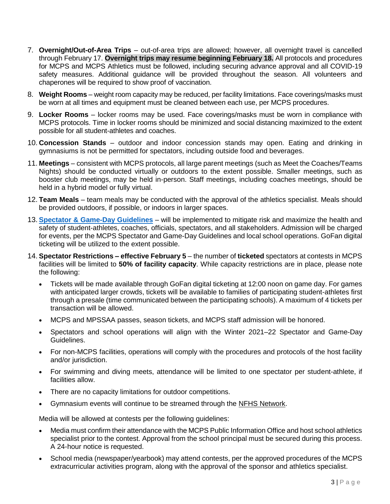- 7. **Overnight/Out-of-Area Trips** out-of-area trips are allowed; however, all overnight travel is cancelled through February 17. **Overnight trips may resume beginning February 18.** All protocols and procedures for MCPS and MCPS Athletics must be followed, including securing advance approval and all COVID-19 safety measures. Additional guidance will be provided throughout the season. All volunteers and chaperones will be required to show proof of vaccination.
- 8. **Weight Rooms** weight room capacity may be reduced, per facility limitations. Face coverings/masks must be worn at all times and equipment must be cleaned between each use, per MCPS procedures.
- 9. **Locker Rooms** locker rooms may be used. Face coverings/masks must be worn in compliance with MCPS protocols. Time in locker rooms should be minimized and social distancing maximized to the extent possible for all student-athletes and coaches.
- 10. **Concession Stands** outdoor and indoor concession stands may open. Eating and drinking in gymnasiums is not be permitted for spectators, including outside food and beverages.
- 11. **Meetings** consistent with MCPS protocols, all large parent meetings (such as Meet the Coaches/Teams Nights) should be conducted virtually or outdoors to the extent possible. Smaller meetings, such as booster club meetings, may be held in-person. Staff meetings, including coaches meetings, should be held in a hybrid model or fully virtual.
- 12. **Team Meals** team meals may be conducted with the approval of the athletics specialist. Meals should be provided outdoors, if possible, or indoors in larger spaces.
- 13. **[Spectator & Game-Day Guidelines](https://www2.montgomeryschoolsmd.org/link/8526aa5f007b4ada9346b46f3e75e549.aspx)** will be implemented to mitigate risk and maximize the health and safety of student-athletes, coaches, officials, spectators, and all stakeholders. Admission will be charged for events, per the MCPS Spectator and Game-Day Guidelines and local school operations. GoFan digital ticketing will be utilized to the extent possible.
- 14. **Spectator Restrictions – effective February 5** the number of **ticketed** spectators at contests in MCPS facilities will be limited to **50% of facility capacity**. While capacity restrictions are in place, please note the following:
	- Tickets will be made available through GoFan digital ticketing at 12:00 noon on game day. For games with anticipated larger crowds, tickets will be available to families of participating student-athletes first through a presale (time communicated between the participating schools). A maximum of 4 tickets per transaction will be allowed.
	- MCPS and MPSSAA passes, season tickets, and MCPS staff admission will be honored.
	- Spectators and school operations will align with the Winter 2021–22 Spectator and Game-Day Guidelines.
	- For non-MCPS facilities, operations will comply with the procedures and protocols of the host facility and/or jurisdiction.
	- For swimming and diving meets, attendance will be limited to one spectator per student-athlete, if facilities allow.
	- There are no capacity limitations for outdoor competitions.
	- Gymnasium events will continue to be streamed through the [NFHS Network.](https://www.nfhsnetwork.com/subscribe/retail)

Media will be allowed at contests per the following guidelines:

- Media must confirm their attendance with the MCPS Public Information Office and host school athletics specialist prior to the contest. Approval from the school principal must be secured during this process. A 24-hour notice is requested.
- School media (newspaper/yearbook) may attend contests, per the approved procedures of the MCPS extracurricular activities program, along with the approval of the sponsor and athletics specialist.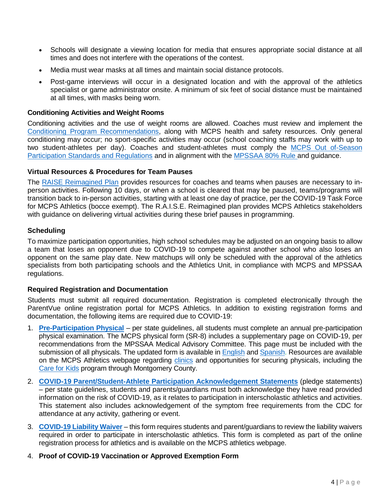- Schools will designate a viewing location for media that ensures appropriate social distance at all times and does not interfere with the operations of the contest.
- Media must wear masks at all times and maintain social distance protocols.
- Post-game interviews will occur in a designated location and with the approval of the athletics specialist or game administrator onsite. A minimum of six feet of social distance must be maintained at all times, with masks being worn.

### **Conditioning Activities and Weight Rooms**

Conditioning activities and the use of weight rooms are allowed. Coaches must review and implement the [Conditioning Program Recommendations,](https://www2.montgomeryschoolsmd.org/siteassets/district/departments/athletics/coach/the-inter-association-task-force-for-preventing-sudden-death-in-secondary-school-athletics-programs8.pdf) along with MCPS health and safety resources. Only general conditioning may occur; no sport-specific activities may occur (school coaching staffs may work with up to two student-athletes per day). Coaches and student-athletes must comply the [MCPS Out of-Season](https://www2.montgomeryschoolsmd.org/siteassets/district/uploadedfiles/departments/athletics/coach/3--out-of-season-participation.pdf)  [Participation Standards and Regulations](https://www2.montgomeryschoolsmd.org/siteassets/district/uploadedfiles/departments/athletics/coach/3--out-of-season-participation.pdf) and in alignment with the [MPSSAA 80% Rule a](https://www2.montgomeryschoolsmd.org/siteassets/district/departments/athletics/coach/80-rule-important-clarifications.docx-1.pdf)nd guidance.

### **Virtual Resources & Procedures for Team Pauses**

The [RAISE Reimagined Plan](https://www2.montgomeryschoolsmd.org/siteassets/district/departments/athletics/covid/2022-r.a.i.s.e-reimagined.rtm.pdf) provides resources for coaches and teams when pauses are necessary to inperson activities. Following 10 days, or when a school is cleared that may be paused, teams/programs will transition back to in-person activities, starting with at least one day of practice, per the COVID-19 Task Force for MCPS Athletics (bocce exempt). The R.A.I.S.E. Reimagined plan provides MCPS Athletics stakeholders with guidance on delivering virtual activities during these brief pauses in programming.

### **Scheduling**

To maximize participation opportunities, high school schedules may be adjusted on an ongoing basis to allow a team that loses an opponent due to COVID-19 to compete against another school who also loses an opponent on the same play date. New matchups will only be scheduled with the approval of the athletics specialists from both participating schools and the Athletics Unit, in compliance with MCPS and MPSSAA regulations.

### **Required Registration and Documentation**

Students must submit all required documentation. Registration is completed electronically through the ParentVue online registration portal for MCPS Athletics. In addition to existing registration forms and documentation, the following items are required due to COVID-19:

- 1. **[Pre-Participation Physical](https://www2.montgomeryschoolsmd.org/siteassets/district/departments/athletics/health/sr-8-physical-form-with-covid-supplement3.pdf)** per state guidelines, all students must complete an annual pre-participation physical examination. The MCPS physical form (SR-8) includes a supplementary page on COVID-19, per recommendations from the MPSSAA Medical Advisory Committee. This page must be included with the submission of all physicals. The updated form is available in [English](https://www2.montgomeryschoolsmd.org/siteassets/district/departments/athletics/covid/covid-supplement.with-name-and-id.pdf) and [Spanish.](https://www2.montgomeryschoolsmd.org/siteassets/district/departments/athletics/covid/covid-supplement.with-name-and-id-spanish.pdf) Resources are available on the MCPS Athletics webpage regarding [clinics](https://www2.montgomeryschoolsmd.org/siteassets/district/departments/athletics/parent/clinics-for-sports-physicals.pdf) and opportunities for securing physicals, including the [Care for Kids](https://www.montgomerycountymd.gov/HHS-Program/Program.aspx?id=PHS/PHSMedCareforUninsChildrenCareForKids-P1703.html) program through Montgomery County.
- 2. **[COVID-19 Parent/Student-Athlete Participation Acknowledgement Statements](https://www.mpssaa.org/assets/1/6/MPSSAA_Roadmap_For_Return_of_Interscholastic_Athletics_Recommended_Forms.pdf)** (pledge statements) – per state guidelines, students and parents/guardians must both acknowledge they have read provided information on the risk of COVID-19, as it relates to participation in interscholastic athletics and activities. This statement also includes acknowledgement of the symptom free requirements from the CDC for attendance at any activity, gathering or event.
- 3. **[COVID-19 Liability Waiver](https://www2.montgomeryschoolsmd.org/siteassets/district/departments/athletics/covid/waiver-of-liability-and-hold-harmless-release-related-to-covid-192.pdf)** this form requires students and parent/guardians to review the liability waivers required in order to participate in interscholastic athletics. This form is completed as part of the online registration process for athletics and is available on the MCPS athletics webpage.
- 4. **Proof of COVID-19 Vaccination or Approved Exemption Form**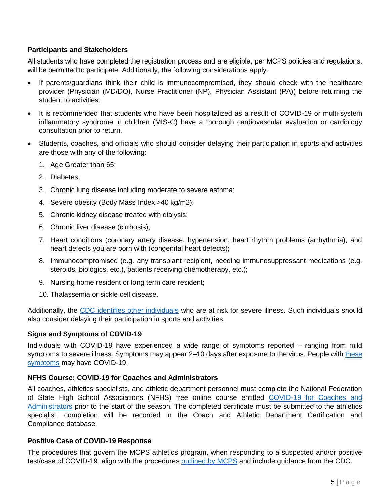## **Participants and Stakeholders**

All students who have completed the registration process and are eligible, per MCPS policies and regulations, will be permitted to participate. Additionally, the following considerations apply:

- If parents/guardians think their child is immunocompromised, they should check with the healthcare provider (Physician (MD/DO), Nurse Practitioner (NP), Physician Assistant (PA)) before returning the student to activities.
- It is recommended that students who have been hospitalized as a result of COVID-19 or multi-system inflammatory syndrome in children (MIS-C) have a thorough cardiovascular evaluation or cardiology consultation prior to return.
- Students, coaches, and officials who should consider delaying their participation in sports and activities are those with any of the following:
	- 1. Age Greater than 65;
	- 2. Diabetes;
	- 3. Chronic lung disease including moderate to severe asthma;
	- 4. Severe obesity (Body Mass Index >40 kg/m2);
	- 5. Chronic kidney disease treated with dialysis;
	- 6. Chronic liver disease (cirrhosis);
	- 7. Heart conditions (coronary artery disease, hypertension, heart rhythm problems (arrhythmia), and heart defects you are born with (congenital heart defects);
	- 8. Immunocompromised (e.g. any transplant recipient, needing immunosuppressant medications (e.g. steroids, biologics, etc.), patients receiving chemotherapy, etc.);
	- 9. Nursing home resident or long term care resident;
	- 10. Thalassemia or sickle cell disease.

Additionally, the [CDC identifies other individuals](https://www.cdc.gov/coronavirus/2019-ncov/need-extra-precautions/people-with-medical-conditions.html) who are at risk for severe illness. Such individuals should also consider delaying their participation in sports and activities.

## **Signs and Symptoms of COVID-19**

Individuals with COVID-19 have experienced a wide range of symptoms reported – ranging from mild symptoms to severe illness. Symptoms may appear 2–10 days after exposure to the virus. People with these [symptoms](https://www.cdc.gov/coronavirus/2019-ncov/symptoms-testing/symptoms.html) may have COVID-19.

## **NFHS Course: COVID-19 for Coaches and Administrators**

All coaches, athletics specialists, and athletic department personnel must complete the National Federation of State High School Associations (NFHS) free online course entitled [COVID-19 for Coaches and](https://nfhslearn.com/courses/covid-19-for-coaches-and-administrators)  [Administrators](https://nfhslearn.com/courses/covid-19-for-coaches-and-administrators) prior to the start of the season. The completed certificate must be submitted to the athletics specialist; completion will be recorded in the Coach and Athletic Department Certification and Compliance database.

## **Positive Case of COVID-19 Response**

The procedures that govern the MCPS athletics program, when responding to a suspected and/or positive test/case of COVID-19, align with the procedures [outlined by MCPS](https://www.montgomeryschoolsmd.org/coronavirus/quarantine.aspx) and include guidance from the CDC.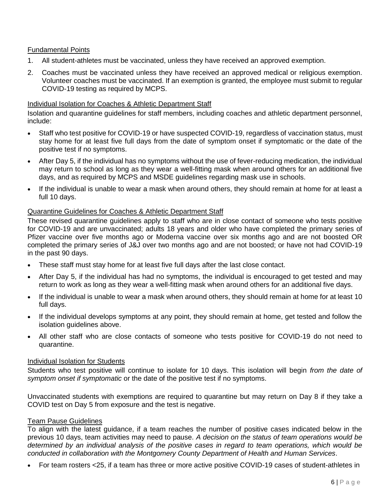## Fundamental Points

- 1. All student-athletes must be vaccinated, unless they have received an approved exemption.
- 2. Coaches must be vaccinated unless they have received an approved medical or religious exemption. Volunteer coaches must be vaccinated. If an exemption is granted, the employee must submit to regular COVID-19 testing as required by MCPS.

### Individual Isolation for Coaches & Athletic Department Staff

Isolation and quarantine guidelines for staff members, including coaches and athletic department personnel, include:

- Staff who test positive for COVID-19 or have suspected COVID-19, regardless of vaccination status, must stay home for at least five full days from the date of symptom onset if symptomatic or the date of the positive test if no symptoms.
- After Day 5, if the individual has no symptoms without the use of fever-reducing medication, the individual may return to school as long as they wear a well-fitting mask when around others for an additional five days, and as required by MCPS and MSDE guidelines regarding mask use in schools.
- If the individual is unable to wear a mask when around others, they should remain at home for at least a full 10 days.

### Quarantine Guidelines for Coaches & Athletic Department Staff

These revised quarantine guidelines apply to staff who are in close contact of someone who tests positive for COVID-19 and are unvaccinated; adults 18 years and older who have completed the primary series of Pfizer vaccine over five months ago or Moderna vaccine over six months ago and are not boosted OR completed the primary series of J&J over two months ago and are not boosted; or have not had COVID-19 in the past 90 days.

- These staff must stay home for at least five full days after the last close contact.
- After Day 5, if the individual has had no symptoms, the individual is encouraged to get tested and may return to work as long as they wear a well-fitting mask when around others for an additional five days.
- If the individual is unable to wear a mask when around others, they should remain at home for at least 10 full days.
- If the individual develops symptoms at any point, they should remain at home, get tested and follow the isolation guidelines above.
- All other staff who are close contacts of someone who tests positive for COVID-19 do not need to quarantine.

### Individual Isolation for Students

Students who test positive will continue to isolate for 10 days. This isolation will begin *from the date of symptom onset if symptomatic* or the date of the positive test if no symptoms.

Unvaccinated students with exemptions are required to quarantine but may return on Day 8 if they take a COVID test on Day 5 from exposure and the test is negative.

### Team Pause Guidelines

To align with the latest guidance, if a team reaches the number of positive cases indicated below in the previous 10 days, team activities may need to pause. *A decision on the status of team operations would be determined by an individual analysis of the positive cases in regard to team operations, which would be conducted in collaboration with the Montgomery County Department of Health and Human Services*.

For team rosters <25, if a team has three or more active positive COVID-19 cases of student-athletes in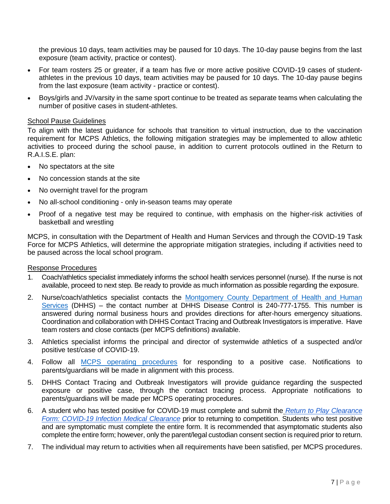the previous 10 days, team activities may be paused for 10 days. The 10-day pause begins from the last exposure (team activity, practice or contest).

- For team rosters 25 or greater, if a team has five or more active positive COVID-19 cases of studentathletes in the previous 10 days, team activities may be paused for 10 days. The 10-day pause begins from the last exposure (team activity - practice or contest).
- Boys/girls and JV/varsity in the same sport continue to be treated as separate teams when calculating the number of positive cases in student-athletes.

### School Pause Guidelines

To align with the latest guidance for schools that transition to virtual instruction, due to the vaccination requirement for MCPS Athletics, the following mitigation strategies may be implemented to allow athletic activities to proceed during the school pause, in addition to current protocols outlined in the Return to R.A.I.S.E. plan:

- No spectators at the site
- No concession stands at the site
- No overnight travel for the program
- No all-school conditioning only in-season teams may operate
- Proof of a negative test may be required to continue, with emphasis on the higher-risk activities of basketball and wrestling

MCPS, in consultation with the Department of Health and Human Services and through the COVID-19 Task Force for MCPS Athletics, will determine the appropriate mitigation strategies, including if activities need to be paused across the local school program.

### Response Procedures

- 1. Coach/athletics specialist immediately informs the school health services personnel (nurse). If the nurse is not available, proceed to next step. Be ready to provide as much information as possible regarding the exposure.
- 2. Nurse/coach/athletics specialist contacts the [Montgomery County Department of Health and Human](https://montgomerycountymd.gov/covid19/)  [Services](https://montgomerycountymd.gov/covid19/) (DHHS) – the contact number at DHHS Disease Control is 240-777-1755. This number is answered during normal business hours and provides directions for after-hours emergency situations. Coordination and collaboration with DHHS Contact Tracing and Outbreak Investigators is imperative. Have team rosters and close contacts (per MCPS definitions) available.
- 3. Athletics specialist informs the principal and director of systemwide athletics of a suspected and/or positive test/case of COVID-19.
- 4. Follow all [MCPS operating procedures](https://www.montgomeryschoolsmd.org/coronavirus/safety.aspx) for responding to a positive case. Notifications to parents/guardians will be made in alignment with this process.
- 5. DHHS Contact Tracing and Outbreak Investigators will provide guidance regarding the suspected exposure or positive case, through the contact tracing process. Appropriate notifications to parents/guardians will be made per MCPS operating procedures.
- 6. A student who has tested positive for COVID-19 must complete and submit the *[Return to Play Clearance](https://nam04.safelinks.protection.outlook.com/?url=https%3A%2F%2Fwww2.montgomeryschoolsmd.org%2Fsiteassets%2Fdistrict%2Fdepartments%2Fathletics%2Fcovid%2Freturn-to-play-clearance-form-covid-19-infection-medical-clearance.pdf&data=04%7C01%7CJames_P_Koutsos%40mcpsmd.org%7C0228274a04ee4558f7dc08d9e0f43d13%7Cddf755e9bcd64a5ea4727c378a78c6c7%7C1%7C0%7C637788161860840881%7CUnknown%7CTWFpbGZsb3d8eyJWIjoiMC4wLjAwMDAiLCJQIjoiV2luMzIiLCJBTiI6Ik1haWwiLCJXVCI6Mn0%3D%7C3000&sdata=p3ben3kAViCHMpq%2Fv1FlC6tIcmeGAN1oa9baM6lX4RQ%3D&reserved=0)  [Form: COVID-19 Infection Medical Clearance](https://nam04.safelinks.protection.outlook.com/?url=https%3A%2F%2Fwww2.montgomeryschoolsmd.org%2Fsiteassets%2Fdistrict%2Fdepartments%2Fathletics%2Fcovid%2Freturn-to-play-clearance-form-covid-19-infection-medical-clearance.pdf&data=04%7C01%7CJames_P_Koutsos%40mcpsmd.org%7C0228274a04ee4558f7dc08d9e0f43d13%7Cddf755e9bcd64a5ea4727c378a78c6c7%7C1%7C0%7C637788161860840881%7CUnknown%7CTWFpbGZsb3d8eyJWIjoiMC4wLjAwMDAiLCJQIjoiV2luMzIiLCJBTiI6Ik1haWwiLCJXVCI6Mn0%3D%7C3000&sdata=p3ben3kAViCHMpq%2Fv1FlC6tIcmeGAN1oa9baM6lX4RQ%3D&reserved=0)* prior to returning to competition. Students who test positive and are symptomatic must complete the entire form. It is recommended that asymptomatic students also complete the entire form; however, only the parent/legal custodian consent section is required prior to return.
- 7. The individual may return to activities when all requirements have been satisfied, per MCPS procedures.